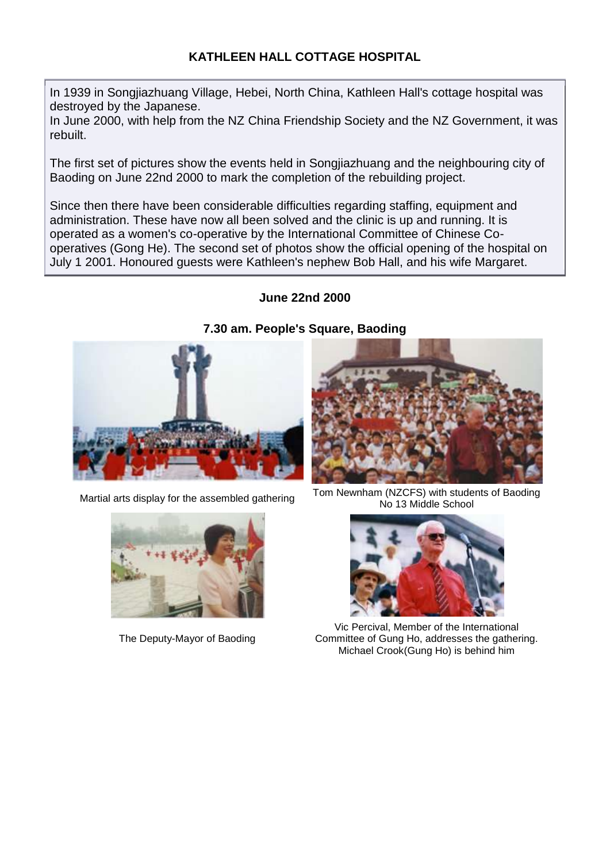# **KATHLEEN HALL COTTAGE HOSPITAL**

In 1939 in Songjiazhuang Village, Hebei, North China, Kathleen Hall's cottage hospital was destroyed by the Japanese.

In June 2000, with help from the NZ China Friendship Society and the NZ Government, it was rebuilt.

The first set of pictures show the events held in Songjiazhuang and the neighbouring city of Baoding on June 22nd 2000 to mark the completion of the rebuilding project.

Since then there have been considerable difficulties regarding staffing, equipment and administration. These have now all been solved and the clinic is up and running. It is operated as a women's co-operative by the International Committee of Chinese Cooperatives (Gong He). The second set of photos show the official opening of the hospital on July 1 2001. Honoured guests were Kathleen's nephew Bob Hall, and his wife Margaret.

## **June 22nd 2000**





The Deputy-Mayor of Baoding



Martial arts display for the assembled gathering Tom Newnham (NZCFS) with students of Baoding No 13 Middle School



Vic Percival, Member of the International Committee of Gung Ho, addresses the gathering. Michael Crook(Gung Ho) is behind him

#### **7.30 am. People's Square, Baoding**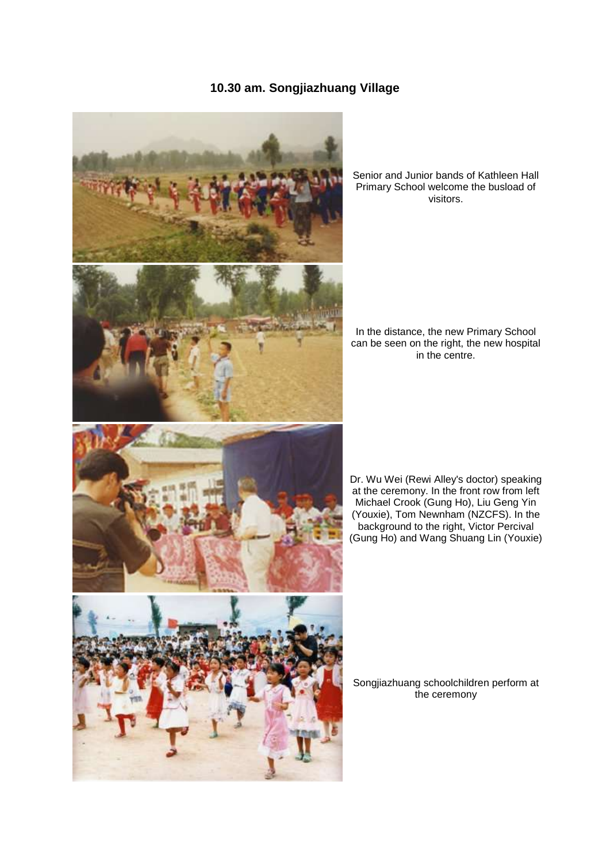## **10.30 am. Songjiazhuang Village**



Senior and Junior bands of Kathleen Hall Primary School welcome the busload of visitors.

In the distance, the new Primary School can be seen on the right, the new hospital in the centre.

Dr. Wu Wei (Rewi Alley's doctor) speaking at the ceremony. In the front row from left Michael Crook (Gung Ho), Liu Geng Yin (Youxie), Tom Newnham (NZCFS). In the background to the right, Victor Percival (Gung Ho) and Wang Shuang Lin (Youxie)

Songjiazhuang schoolchildren perform at the ceremony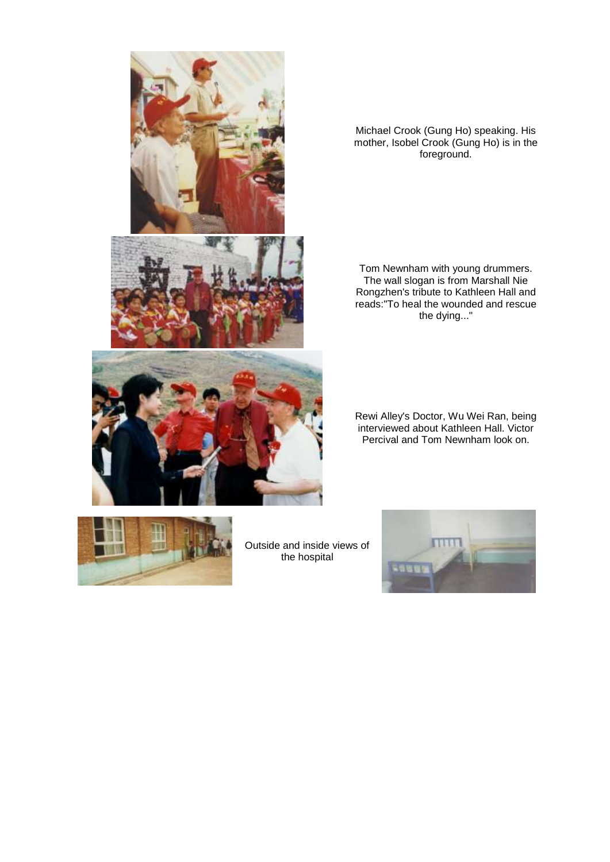

Michael Crook (Gung Ho) speaking. His mother, Isobel Crook (Gung Ho) is in the foreground.

Tom Newnham with young drummers. The wall slogan is from Marshall Nie Rongzhen's tribute to Kathleen Hall and reads:"To heal the wounded and rescue the dying..."

Rewi Alley's Doctor, Wu Wei Ran, being interviewed about Kathleen Hall. Victor Percival and Tom Newnham look on.



Outside and inside views of the hospital

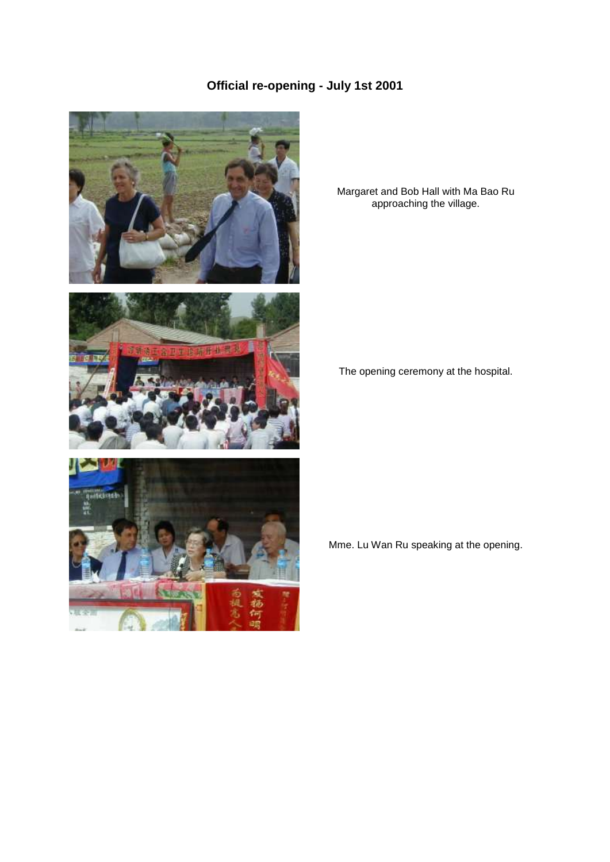# **Official re-opening - July 1st 2001**



Margaret and Bob Hall with Ma Bao Ru approaching the village.

The opening ceremony at the hospital.

Mme. Lu Wan Ru speaking at the opening.